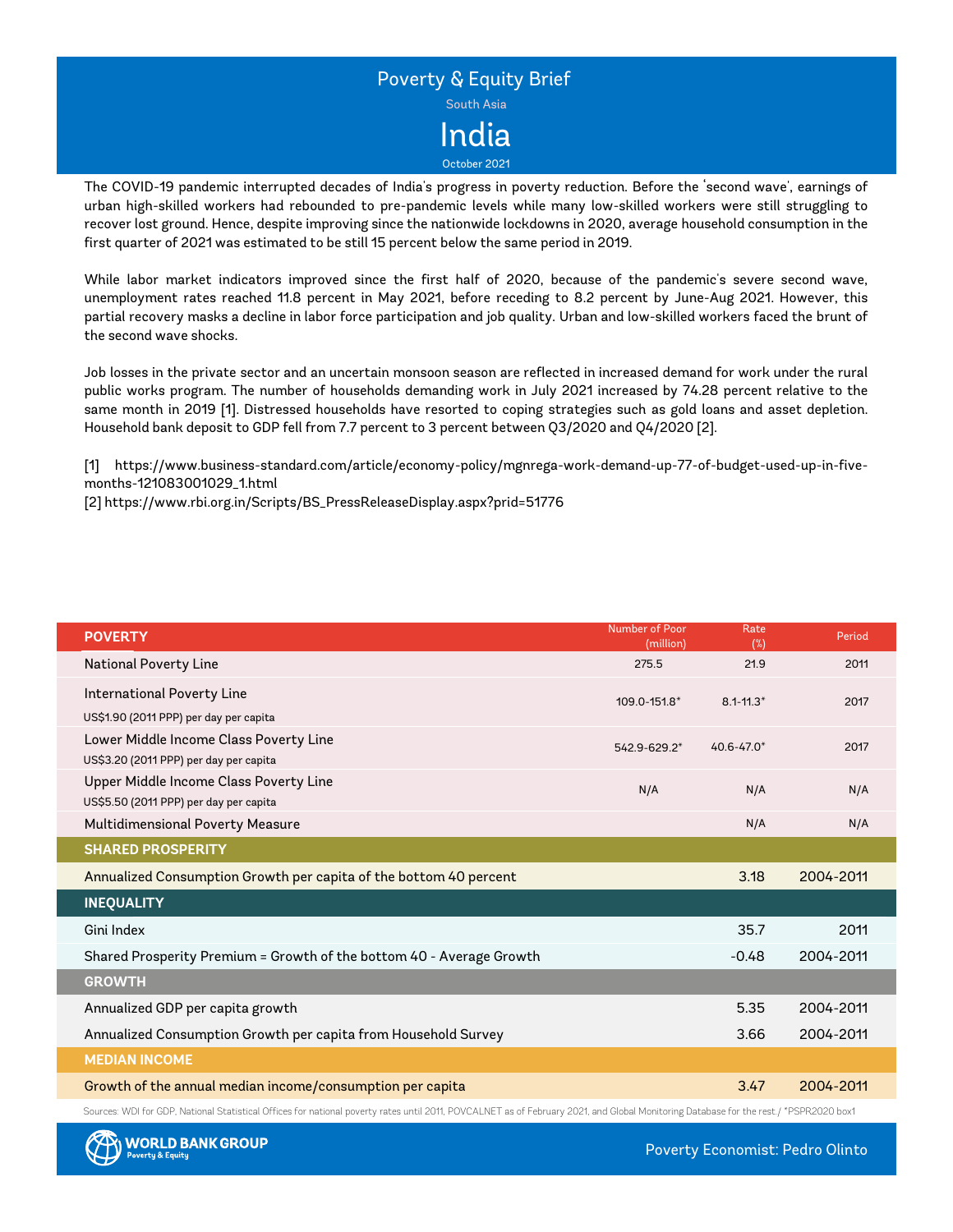

The COVID-19 pandemic interrupted decades of India's progress in poverty reduction. Before the 'second wave', earnings of urban high-skilled workers had rebounded to pre-pandemic levels while many low-skilled workers were still struggling to recover lost ground. Hence, despite improving since the nationwide lockdowns in 2020, average household consumption in the first quarter of 2021 was estimated to be still 15 percent below the same period in 2019.

While labor market indicators improved since the first half of 2020, because of the pandemic's severe second wave, unemployment rates reached 11.8 percent in May 2021, before receding to 8.2 percent by June-Aug 2021. However, this partial recovery masks a decline in labor force participation and job quality. Urban and low-skilled workers faced the brunt of the second wave shocks.

Job losses in the private sector and an uncertain monsoon season are reflected in increased demand for work under the rural public works program. The number of households demanding work in July 2021 increased by 74.28 percent relative to the same month in 2019 [1]. Distressed households have resorted to coping strategies such as gold loans and asset depletion. Household bank deposit to GDP fell from 7.7 percent to 3 percent between Q3/2020 and Q4/2020 [2].

[1] https://www.business-standard.com/article/economy-policy/mgnrega-work-demand-up-77-of-budget-used-up-in-fivemonths-121083001029\_1.html

[2] https://www.rbi.org.in/Scripts/BS\_PressReleaseDisplay.aspx?prid=51776

| <b>POVERTY</b>                                                                   | Number of Poor<br>(million) | Rate<br>(%)    | Period    |
|----------------------------------------------------------------------------------|-----------------------------|----------------|-----------|
| National Poverty Line                                                            | 275.5                       | 21.9           | 2011      |
| International Poverty Line<br>US\$1.90 (2011 PPP) per day per capita             | 109.0-151.8*                | $8.1 - 11.3*$  | 2017      |
| Lower Middle Income Class Poverty Line<br>US\$3.20 (2011 PPP) per day per capita | 542.9-629.2*                | $40.6 - 47.0*$ | 2017      |
| Upper Middle Income Class Poverty Line<br>US\$5.50 (2011 PPP) per day per capita | N/A                         | N/A            | N/A       |
| Multidimensional Poverty Measure                                                 |                             | N/A            | N/A       |
| <b>SHARED PROSPERITY</b>                                                         |                             |                |           |
| Annualized Consumption Growth per capita of the bottom 40 percent                |                             | 3.18           | 2004-2011 |
| <b>INEQUALITY</b>                                                                |                             |                |           |
| Gini Index                                                                       |                             | 35.7           | 2011      |
| Shared Prosperity Premium = Growth of the bottom 40 - Average Growth             |                             | $-0.48$        | 2004-2011 |
| <b>GROWTH</b>                                                                    |                             |                |           |
| Annualized GDP per capita growth                                                 |                             | 5.35           | 2004-2011 |
| Annualized Consumption Growth per capita from Household Survey                   |                             | 3.66           | 2004-2011 |
| <b>MEDIAN INCOME</b>                                                             |                             |                |           |
| Growth of the annual median income/consumption per capita                        |                             | 3.47           | 2004-2011 |

Sources: WDI for GDP, National Statistical Offices for national poverty rates until 2011, POVCALNET as of February 2021, and Global Monitoring Database for the rest. / \*PSPR2020 box1

Poverty Economist: Pedro Olinto